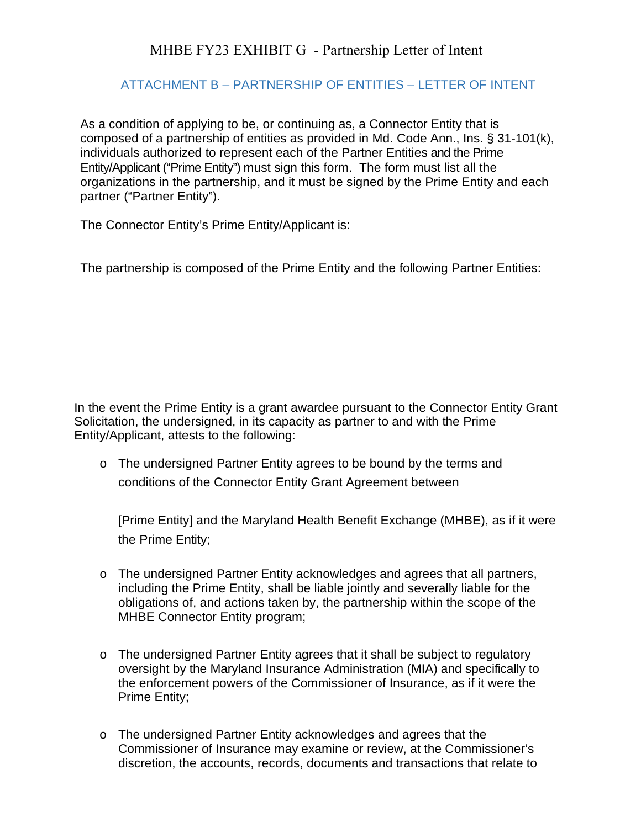## MHBE FY23 EXHIBIT G - Partnership Letter of Intent

## ATTACHMENT B – PARTNERSHIP OF ENTITIES – LETTER OF INTENT

As a condition of applying to be, or continuing as, a Connector Entity that is composed of a partnership of entities as provided in Md. Code Ann., Ins. § 31-101(k), individuals authorized to represent each of the Partner Entities and the Prime Entity/Applicant ("Prime Entity") must sign this form. The form must list all the organizations in the partnership, and it must be signed by the Prime Entity and each partner ("Partner Entity").

The Connector Entity's Prime Entity/Applicant is:

The partnership is composed of the Prime Entity and the following Partner Entities:

In the event the Prime Entity is a grant awardee pursuant to the Connector Entity Grant Solicitation, the undersigned, in its capacity as partner to and with the Prime Entity/Applicant, attests to the following:

o The undersigned Partner Entity agrees to be bound by the terms and conditions of the Connector Entity Grant Agreement between

[Prime Entity] and the Maryland Health Benefit Exchange (MHBE), as if it were the Prime Entity;

- o The undersigned Partner Entity acknowledges and agrees that all partners, including the Prime Entity, shall be liable jointly and severally liable for the obligations of, and actions taken by, the partnership within the scope of the MHBE Connector Entity program;
- o The undersigned Partner Entity agrees that it shall be subject to regulatory oversight by the Maryland Insurance Administration (MIA) and specifically to the enforcement powers of the Commissioner of Insurance, as if it were the Prime Entity;
- o The undersigned Partner Entity acknowledges and agrees that the Commissioner of Insurance may examine or review, at the Commissioner's discretion, the accounts, records, documents and transactions that relate to